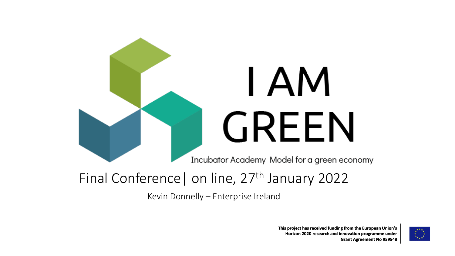

Kevin Donnelly – Enterprise Ireland

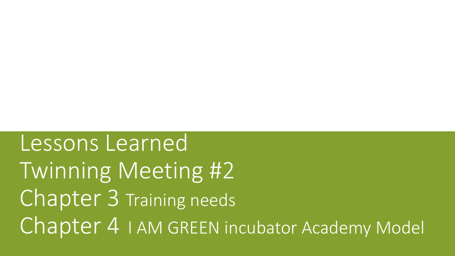Lessons Learned Twinning Meeting #2 Chapter 3 Training needs Chapter 4 I AM GREEN incubator Academy Model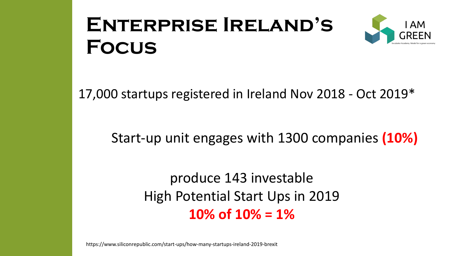# **Enterprise Ireland's Focus**

![](_page_2_Picture_1.jpeg)

17,000 startups registered in Ireland Nov 2018 - Oct 2019\*

## Start-up unit engages with 1300 companies **(10%)**

produce 143 investable High Potential Start Ups in 2019 **10% of 10% = 1%**

https://www.siliconrepublic.com/start-ups/how-many-startups-ireland-2019-brexit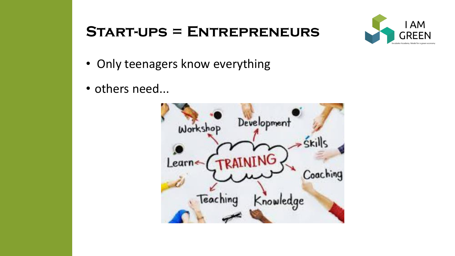### **Start-ups = Entrepreneurs**

![](_page_3_Picture_1.jpeg)

- Only teenagers know everything
- others need...

![](_page_3_Picture_4.jpeg)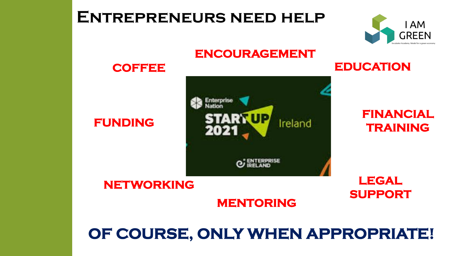# **OF COURSE, ONLY WHEN APPROPRIATE!**

#### **MENTORING**

#### **NETWORKING**

#### **FUNDING**

![](_page_4_Figure_4.jpeg)

**ENCOURAGEMENT** 

#### **FINANCIAL TRAINING**

**LEGAL**

**SUPPORT**

#### **COFFEE**

**Entrepreneurs need help**

![](_page_4_Picture_7.jpeg)

**EDUCATION**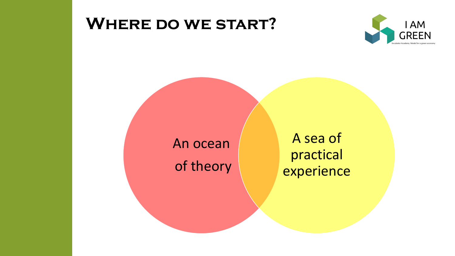# **Where do we start?**

![](_page_5_Picture_1.jpeg)

![](_page_5_Figure_2.jpeg)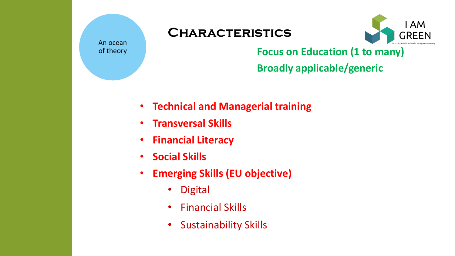![](_page_6_Picture_0.jpeg)

#### **Characteristics**

![](_page_6_Picture_2.jpeg)

**Focus on Education (1 to many)**

**Broadly applicable/generic**

- **Technical and Managerial training**
- **Transversal Skills**
- **Financial Literacy**
- **Social Skills**
- **Emerging Skills (EU objective)**
	- Digital
	- Financial Skills
	- Sustainability Skills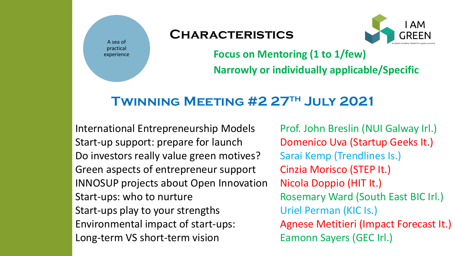![](_page_7_Picture_0.jpeg)

#### **Characteristics**

![](_page_7_Picture_2.jpeg)

**Focus on Mentoring (1 to 1/few) Narrowly or individually applicable/Specific**

#### **Twinning Meeting #2 27th July 2021**

International Entrepreneurship Models Prof. John Breslin (NUI Galway Irl.) Start-up support: prepare for launch Domenico Uva (Startup Geeks It.) Do investors really value green motives? Sarai Kemp (Trendlines Is.) Green aspects of entrepreneur support Cinzia Morisco (STEP It.) INNOSUP projects about Open Innovation Nicola Doppio (HIT It.) Start-ups: who to nurture **Rosemary Ward (South East BIC Irl.)** Start-ups play to your strengths Uriel Perman (KIC Is.) Environmental impact of start-ups: Agnese Metitieri (Impact Forecast It.) Long-term VS short-term vision Eamonn Sayers (GEC Irl.)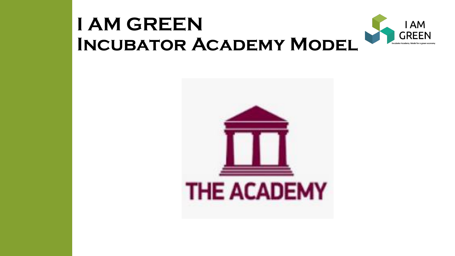#### **I AM GREEN IAM GREEN Incubator Academy Model**

![](_page_8_Picture_1.jpeg)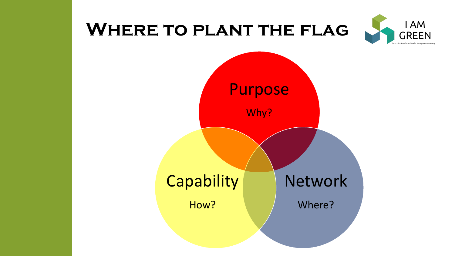# **Where to plant the flag**

![](_page_9_Picture_1.jpeg)

![](_page_9_Figure_2.jpeg)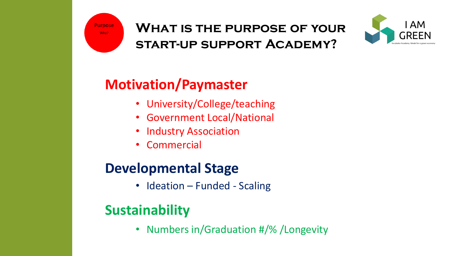![](_page_10_Picture_0.jpeg)

#### **What is the purpose of your start-up support Academy?**

![](_page_10_Picture_2.jpeg)

# **Motivation/Paymaster**

- University/College/teaching
- Government Local/National
- Industry Association
- **Commercial**

## **Developmental Stage**

• Ideation – Funded - Scaling

# **Sustainability**

• Numbers in/Graduation #/% /Longevity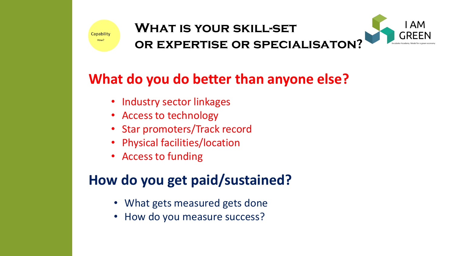![](_page_11_Picture_0.jpeg)

![](_page_11_Picture_2.jpeg)

# **What do you do better than anyone else?**

- Industry sector linkages
- Access to technology
- Star promoters/Track record
- Physical facilities/location
- Access to funding

# **How do you get paid/sustained?**

- What gets measured gets done
- How do you measure success?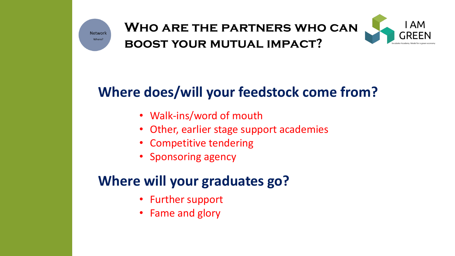![](_page_12_Picture_0.jpeg)

#### **Who are the partners who can boost your mutual impact?**

![](_page_12_Picture_2.jpeg)

# **Where does/will your feedstock come from?**

- Walk-ins/word of mouth
- Other, earlier stage support academies
- Competitive tendering
- Sponsoring agency

## **Where will your graduates go?**

- Further support
- Fame and glory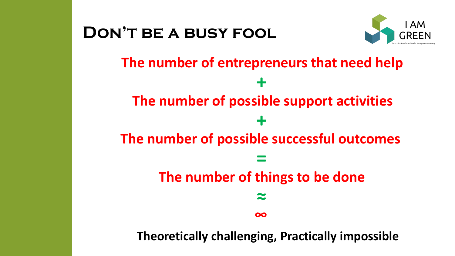![](_page_13_Figure_0.jpeg)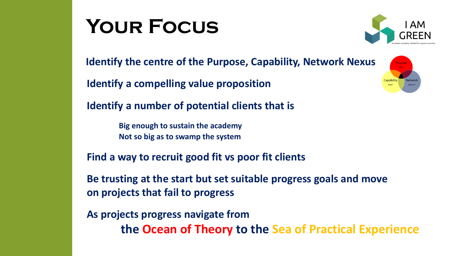# **Your Focus**

![](_page_14_Picture_1.jpeg)

**Identify the centre of the Purpose, Capability, Network Nexus** 

**Identify a compelling value proposition**

**Identify a number of potential clients that is** 

**Big enough to sustain the academy Not so big as to swamp the system** 

**Find a way to recruit good fit vs poor fit clients**

**Be trusting at the start but set suitable progress goals and move on projects that fail to progress**

**As projects progress navigate from the Ocean of Theory to the Sea of Practical Experience**

![](_page_14_Picture_9.jpeg)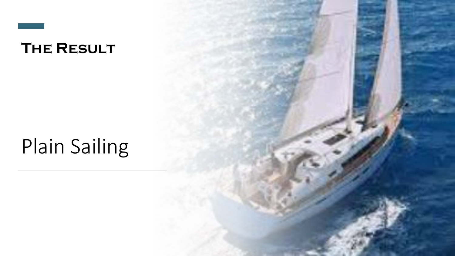![](_page_15_Picture_0.jpeg)

# Plain Sailing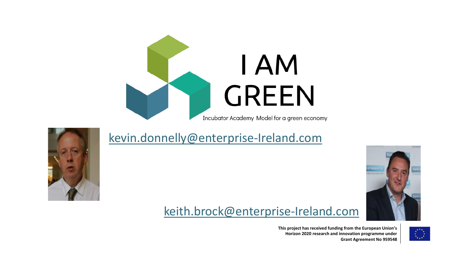![](_page_16_Picture_0.jpeg)

[kevin.donnelly@enterprise-Ireland.com](mailto:kevin.donnelly@enterprise-Ireland.com)

![](_page_16_Picture_1.jpeg)

#### [keith.brock@enterprise-Ireland.com](mailto:keith.brock@enterprise-Ireland.com)

**This project has received funding from the European Union's Horizon 2020 research and innovation programme under Grant Agreement No 959548**

![](_page_16_Picture_5.jpeg)